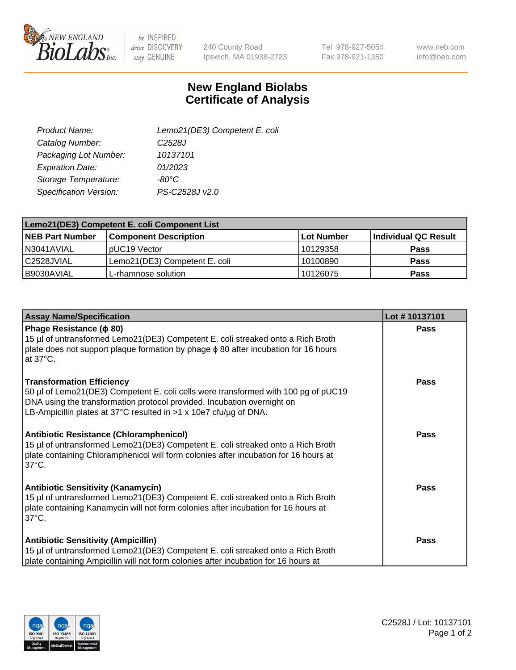

be INSPIRED drive DISCOVERY stay GENUINE

240 County Road Ipswich, MA 01938-2723 Tel 978-927-5054 Fax 978-921-1350 www.neb.com info@neb.com

## **New England Biolabs Certificate of Analysis**

| Lemo21(DE3) Competent E. coli |
|-------------------------------|
| C <sub>2528</sub> J           |
| 10137101                      |
| 01/2023                       |
| $-80^{\circ}$ C               |
| PS-C2528J v2.0                |
|                               |

| Lemo21(DE3) Competent E. coli Component List |                               |            |                             |  |
|----------------------------------------------|-------------------------------|------------|-----------------------------|--|
| <b>NEB Part Number</b>                       | <b>Component Description</b>  | Lot Number | <b>Individual QC Result</b> |  |
| N3041AVIAL                                   | I pUC19 Vector                | 10129358   | <b>Pass</b>                 |  |
| l C2528JVIAL                                 | Lemo21(DE3) Competent E. coli | 10100890   | <b>Pass</b>                 |  |
| B9030AVIAL                                   | L-rhamnose solution           | 10126075   | <b>Pass</b>                 |  |

| <b>Assay Name/Specification</b>                                                                                                                                                                                                                                        | Lot #10137101 |
|------------------------------------------------------------------------------------------------------------------------------------------------------------------------------------------------------------------------------------------------------------------------|---------------|
| Phage Resistance ( $\phi$ 80)<br>15 µl of untransformed Lemo21(DE3) Competent E. coli streaked onto a Rich Broth<br>plate does not support plaque formation by phage $\phi$ 80 after incubation for 16 hours<br>at $37^{\circ}$ C.                                     | <b>Pass</b>   |
| <b>Transformation Efficiency</b><br>50 µl of Lemo21(DE3) Competent E. coli cells were transformed with 100 pg of pUC19<br>DNA using the transformation protocol provided. Incubation overnight on<br>LB-Ampicillin plates at 37°C resulted in >1 x 10e7 cfu/ug of DNA. | Pass          |
| Antibiotic Resistance (Chloramphenicol)<br>15 µl of untransformed Lemo21(DE3) Competent E. coli streaked onto a Rich Broth<br>plate containing Chloramphenicol will form colonies after incubation for 16 hours at<br>$37^{\circ}$ C.                                  | Pass          |
| <b>Antibiotic Sensitivity (Kanamycin)</b><br>15 µl of untransformed Lemo21(DE3) Competent E. coli streaked onto a Rich Broth<br>plate containing Kanamycin will not form colonies after incubation for 16 hours at<br>$37^{\circ}$ C.                                  | Pass          |
| <b>Antibiotic Sensitivity (Ampicillin)</b><br>15 µl of untransformed Lemo21(DE3) Competent E. coli streaked onto a Rich Broth<br>plate containing Ampicillin will not form colonies after incubation for 16 hours at                                                   | <b>Pass</b>   |